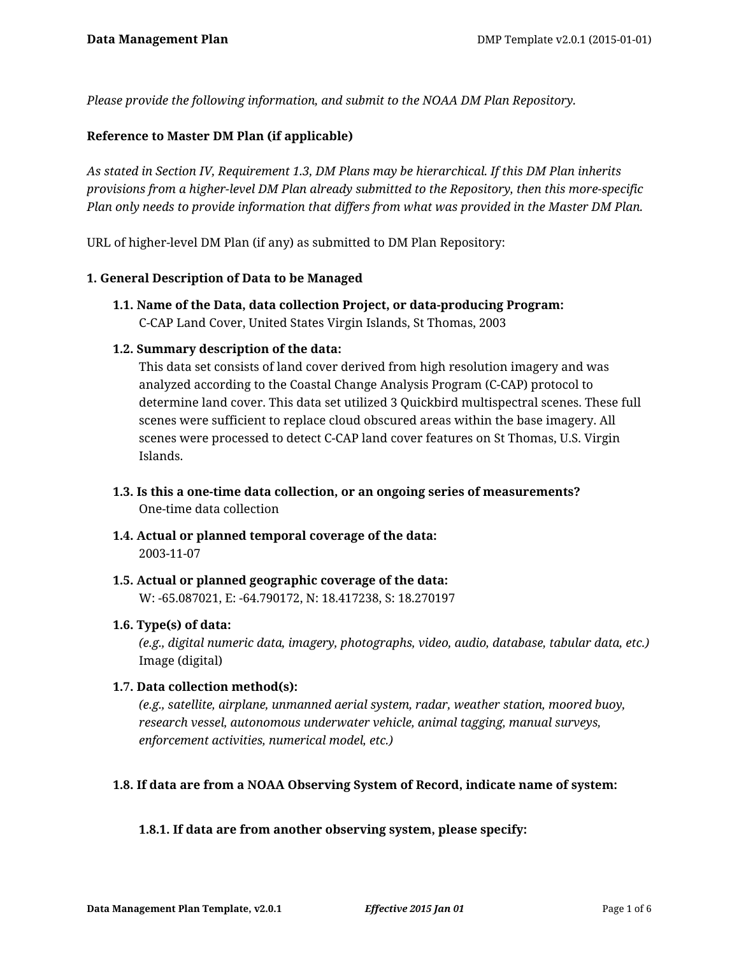*Please provide the following information, and submit to the NOAA DM Plan Repository.*

# **Reference to Master DM Plan (if applicable)**

*As stated in Section IV, Requirement 1.3, DM Plans may be hierarchical. If this DM Plan inherits provisions from a higher-level DM Plan already submitted to the Repository, then this more-specific Plan only needs to provide information that differs from what was provided in the Master DM Plan.*

URL of higher-level DM Plan (if any) as submitted to DM Plan Repository:

### **1. General Description of Data to be Managed**

**1.1. Name of the Data, data collection Project, or data-producing Program:** C-CAP Land Cover, United States Virgin Islands, St Thomas, 2003

## **1.2. Summary description of the data:**

This data set consists of land cover derived from high resolution imagery and was analyzed according to the Coastal Change Analysis Program (C-CAP) protocol to determine land cover. This data set utilized 3 Quickbird multispectral scenes. These full scenes were sufficient to replace cloud obscured areas within the base imagery. All scenes were processed to detect C-CAP land cover features on St Thomas, U.S. Virgin Islands.

- **1.3. Is this a one-time data collection, or an ongoing series of measurements?** One-time data collection
- **1.4. Actual or planned temporal coverage of the data:** 2003-11-07
- **1.5. Actual or planned geographic coverage of the data:** W: -65.087021, E: -64.790172, N: 18.417238, S: 18.270197

### **1.6. Type(s) of data:**

*(e.g., digital numeric data, imagery, photographs, video, audio, database, tabular data, etc.)* Image (digital)

### **1.7. Data collection method(s):**

*(e.g., satellite, airplane, unmanned aerial system, radar, weather station, moored buoy, research vessel, autonomous underwater vehicle, animal tagging, manual surveys, enforcement activities, numerical model, etc.)*

### **1.8. If data are from a NOAA Observing System of Record, indicate name of system:**

### **1.8.1. If data are from another observing system, please specify:**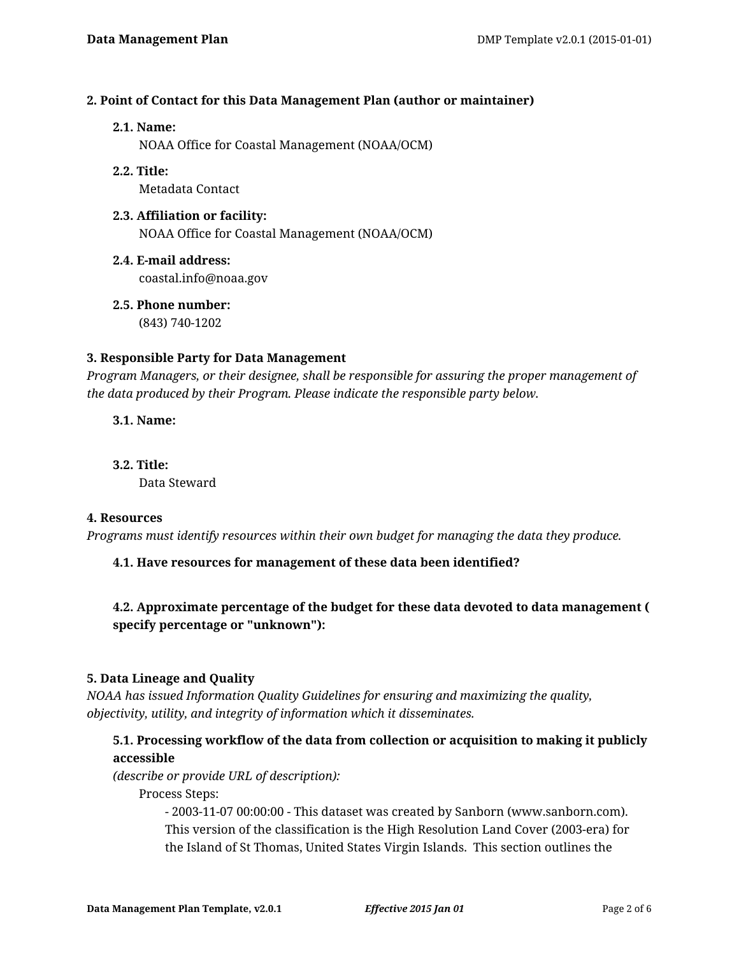## **2. Point of Contact for this Data Management Plan (author or maintainer)**

### **2.1. Name:**

NOAA Office for Coastal Management (NOAA/OCM)

# **2.2. Title:**

Metadata Contact

### **2.3. Affiliation or facility:** NOAA Office for Coastal Management (NOAA/OCM)

- **2.4. E-mail address:** coastal.info@noaa.gov
- **2.5. Phone number:** (843) 740-1202

## **3. Responsible Party for Data Management**

*Program Managers, or their designee, shall be responsible for assuring the proper management of the data produced by their Program. Please indicate the responsible party below.*

**3.1. Name:**

**3.2. Title:** Data Steward

### **4. Resources**

*Programs must identify resources within their own budget for managing the data they produce.*

# **4.1. Have resources for management of these data been identified?**

# **4.2. Approximate percentage of the budget for these data devoted to data management ( specify percentage or "unknown"):**

### **5. Data Lineage and Quality**

*NOAA has issued Information Quality Guidelines for ensuring and maximizing the quality, objectivity, utility, and integrity of information which it disseminates.*

# **5.1. Processing workflow of the data from collection or acquisition to making it publicly accessible**

*(describe or provide URL of description):*

Process Steps:

- 2003-11-07 00:00:00 - This dataset was created by Sanborn (www.sanborn.com). This version of the classification is the High Resolution Land Cover (2003-era) for the Island of St Thomas, United States Virgin Islands. This section outlines the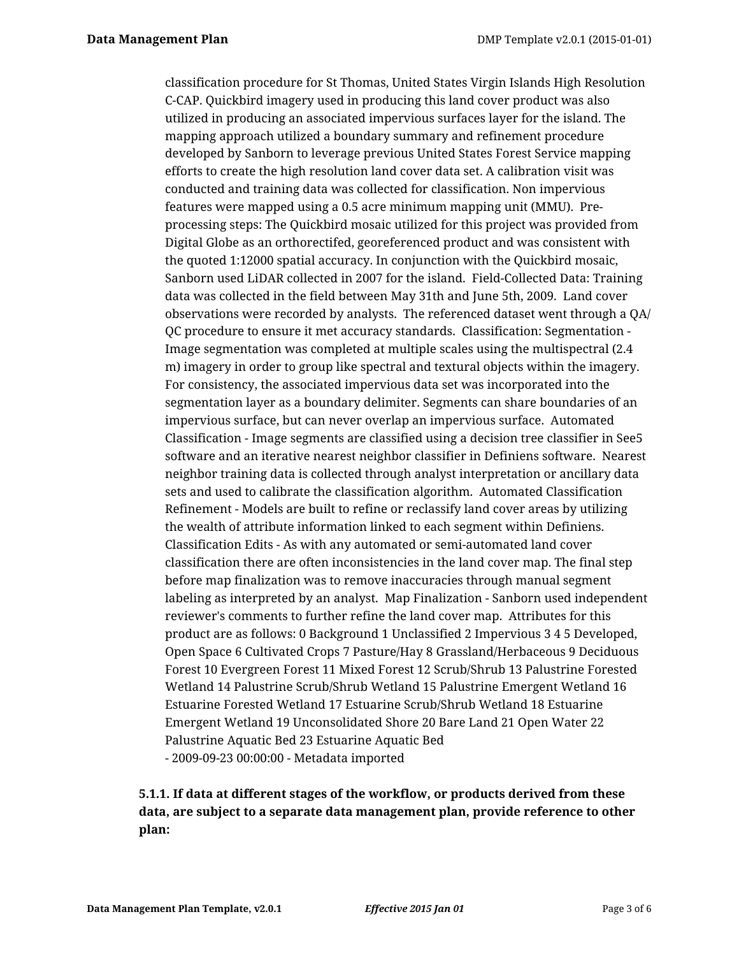classification procedure for St Thomas, United States Virgin Islands High Resolution C-CAP. Quickbird imagery used in producing this land cover product was also utilized in producing an associated impervious surfaces layer for the island. The mapping approach utilized a boundary summary and refinement procedure developed by Sanborn to leverage previous United States Forest Service mapping efforts to create the high resolution land cover data set. A calibration visit was conducted and training data was collected for classification. Non impervious features were mapped using a 0.5 acre minimum mapping unit (MMU). Preprocessing steps: The Quickbird mosaic utilized for this project was provided from Digital Globe as an orthorectifed, georeferenced product and was consistent with the quoted 1:12000 spatial accuracy. In conjunction with the Quickbird mosaic, Sanborn used LiDAR collected in 2007 for the island. Field-Collected Data: Training data was collected in the field between May 31th and June 5th, 2009. Land cover observations were recorded by analysts. The referenced dataset went through a QA/ QC procedure to ensure it met accuracy standards. Classification: Segmentation - Image segmentation was completed at multiple scales using the multispectral (2.4 m) imagery in order to group like spectral and textural objects within the imagery. For consistency, the associated impervious data set was incorporated into the segmentation layer as a boundary delimiter. Segments can share boundaries of an impervious surface, but can never overlap an impervious surface. Automated Classification - Image segments are classified using a decision tree classifier in See5 software and an iterative nearest neighbor classifier in Definiens software. Nearest neighbor training data is collected through analyst interpretation or ancillary data sets and used to calibrate the classification algorithm. Automated Classification Refinement - Models are built to refine or reclassify land cover areas by utilizing the wealth of attribute information linked to each segment within Definiens. Classification Edits - As with any automated or semi-automated land cover classification there are often inconsistencies in the land cover map. The final step before map finalization was to remove inaccuracies through manual segment labeling as interpreted by an analyst. Map Finalization - Sanborn used independent reviewer's comments to further refine the land cover map. Attributes for this product are as follows: 0 Background 1 Unclassified 2 Impervious 3 4 5 Developed, Open Space 6 Cultivated Crops 7 Pasture/Hay 8 Grassland/Herbaceous 9 Deciduous Forest 10 Evergreen Forest 11 Mixed Forest 12 Scrub/Shrub 13 Palustrine Forested Wetland 14 Palustrine Scrub/Shrub Wetland 15 Palustrine Emergent Wetland 16 Estuarine Forested Wetland 17 Estuarine Scrub/Shrub Wetland 18 Estuarine Emergent Wetland 19 Unconsolidated Shore 20 Bare Land 21 Open Water 22 Palustrine Aquatic Bed 23 Estuarine Aquatic Bed - 2009-09-23 00:00:00 - Metadata imported

# **5.1.1. If data at different stages of the workflow, or products derived from these data, are subject to a separate data management plan, provide reference to other plan:**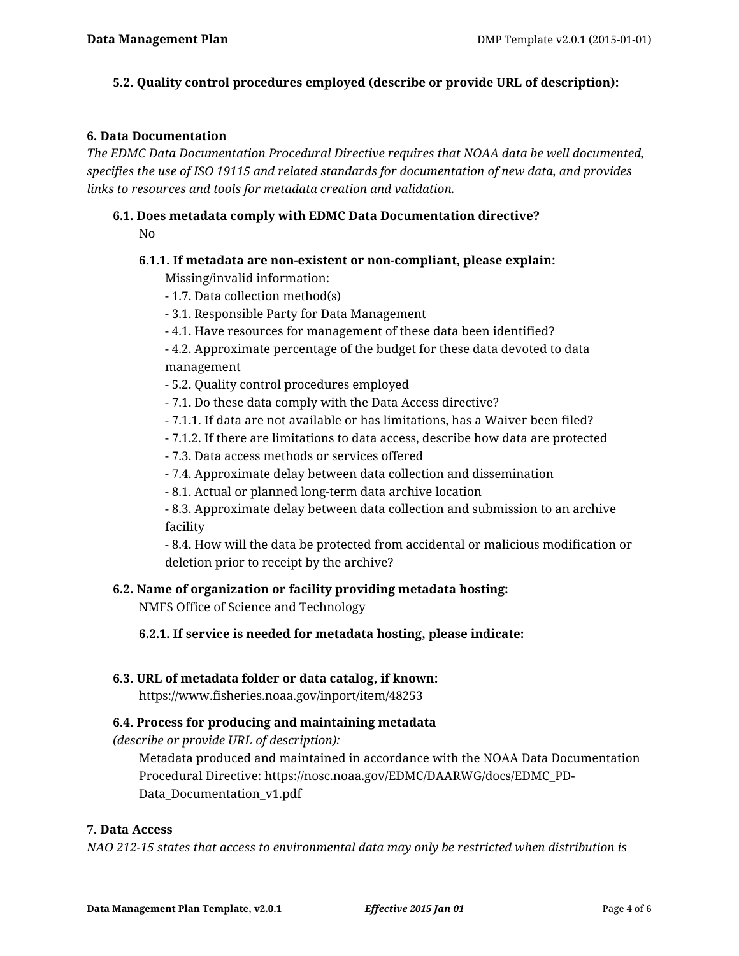## **5.2. Quality control procedures employed (describe or provide URL of description):**

### **6. Data Documentation**

*The EDMC Data Documentation Procedural Directive requires that NOAA data be well documented, specifies the use of ISO 19115 and related standards for documentation of new data, and provides links to resources and tools for metadata creation and validation.*

# **6.1. Does metadata comply with EDMC Data Documentation directive?**

No

# **6.1.1. If metadata are non-existent or non-compliant, please explain:**

Missing/invalid information:

- 1.7. Data collection method(s)
- 3.1. Responsible Party for Data Management
- 4.1. Have resources for management of these data been identified?

- 4.2. Approximate percentage of the budget for these data devoted to data management

- 5.2. Quality control procedures employed
- 7.1. Do these data comply with the Data Access directive?
- 7.1.1. If data are not available or has limitations, has a Waiver been filed?
- 7.1.2. If there are limitations to data access, describe how data are protected
- 7.3. Data access methods or services offered
- 7.4. Approximate delay between data collection and dissemination
- 8.1. Actual or planned long-term data archive location

- 8.3. Approximate delay between data collection and submission to an archive facility

- 8.4. How will the data be protected from accidental or malicious modification or deletion prior to receipt by the archive?

### **6.2. Name of organization or facility providing metadata hosting:**

NMFS Office of Science and Technology

**6.2.1. If service is needed for metadata hosting, please indicate:**

### **6.3. URL of metadata folder or data catalog, if known:**

https://www.fisheries.noaa.gov/inport/item/48253

### **6.4. Process for producing and maintaining metadata**

*(describe or provide URL of description):*

Metadata produced and maintained in accordance with the NOAA Data Documentation Procedural Directive: https://nosc.noaa.gov/EDMC/DAARWG/docs/EDMC\_PD-Data\_Documentation\_v1.pdf

## **7. Data Access**

*NAO 212-15 states that access to environmental data may only be restricted when distribution is*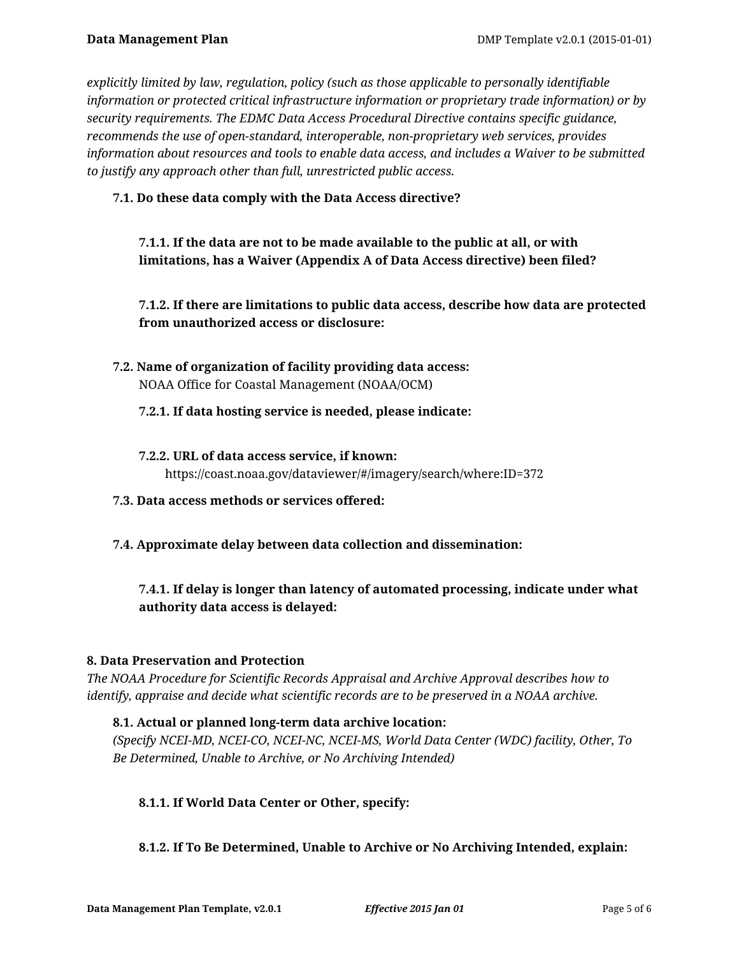*explicitly limited by law, regulation, policy (such as those applicable to personally identifiable information or protected critical infrastructure information or proprietary trade information) or by security requirements. The EDMC Data Access Procedural Directive contains specific guidance, recommends the use of open-standard, interoperable, non-proprietary web services, provides information about resources and tools to enable data access, and includes a Waiver to be submitted to justify any approach other than full, unrestricted public access.*

**7.1. Do these data comply with the Data Access directive?**

**7.1.1. If the data are not to be made available to the public at all, or with limitations, has a Waiver (Appendix A of Data Access directive) been filed?**

**7.1.2. If there are limitations to public data access, describe how data are protected from unauthorized access or disclosure:**

**7.2. Name of organization of facility providing data access:** NOAA Office for Coastal Management (NOAA/OCM)

## **7.2.1. If data hosting service is needed, please indicate:**

- **7.2.2. URL of data access service, if known:** https://coast.noaa.gov/dataviewer/#/imagery/search/where:ID=372
- **7.3. Data access methods or services offered:**
- **7.4. Approximate delay between data collection and dissemination:**

# **7.4.1. If delay is longer than latency of automated processing, indicate under what authority data access is delayed:**

# **8. Data Preservation and Protection**

*The NOAA Procedure for Scientific Records Appraisal and Archive Approval describes how to identify, appraise and decide what scientific records are to be preserved in a NOAA archive.*

# **8.1. Actual or planned long-term data archive location:**

*(Specify NCEI-MD, NCEI-CO, NCEI-NC, NCEI-MS, World Data Center (WDC) facility, Other, To Be Determined, Unable to Archive, or No Archiving Intended)*

### **8.1.1. If World Data Center or Other, specify:**

# **8.1.2. If To Be Determined, Unable to Archive or No Archiving Intended, explain:**